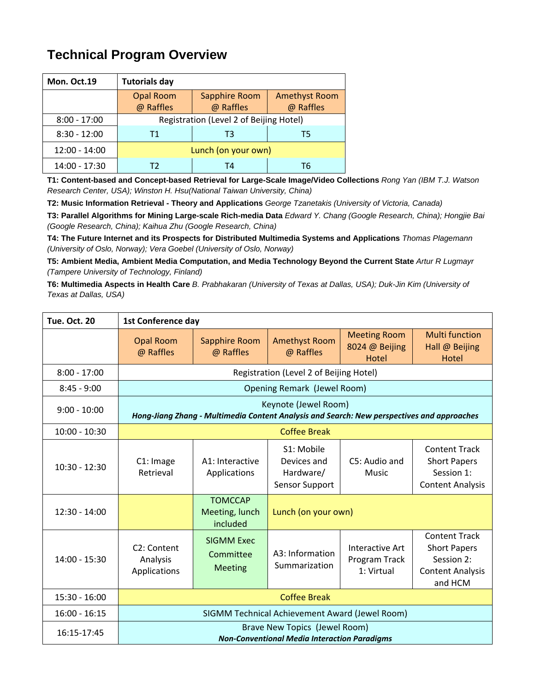## **Technical Program Overview**

| Mon. Oct.19     | <b>Tutorials day</b>                    |                      |                      |
|-----------------|-----------------------------------------|----------------------|----------------------|
|                 | <b>Opal Room</b>                        | <b>Sapphire Room</b> | <b>Amethyst Room</b> |
|                 | @ Raffles                               | @ Raffles            | @ Raffles            |
| $8:00 - 17:00$  | Registration (Level 2 of Beijing Hotel) |                      |                      |
| $8:30 - 12:00$  | Т1<br>ΤЗ<br>15                          |                      |                      |
| $12:00 - 14:00$ | Lunch (on your own)                     |                      |                      |
| 14:00 - 17:30   |                                         | T4                   | T6                   |

**T1: Content-based and Concept-based Retrieval for Large-Scale Image/Video Collections** *Rong Yan (IBM T.J. Watson Research Center, USA); Winston H. Hsu(National Taiwan University, China)* 

**T2: Music Information Retrieval - Theory and Applications** *George Tzanetakis (University of Victoria, Canada)*

**T3: Parallel Algorithms for Mining Large-scale Rich-media Data** *Edward Y. Chang (Google Research, China); Hongjie Bai (Google Research, China); Kaihua Zhu (Google Research, China)* 

**T4: The Future Internet and its Prospects for Distributed Multimedia Systems and Applications** *Thomas Plagemann (University of Oslo, Norway); Vera Goebel (University of Oslo, Norway)* 

**T5: Ambient Media, Ambient Media Computation, and Media Technology Beyond the Current State** *Artur R Lugmayr (Tampere University of Technology, Finland)*

**T6: Multimedia Aspects in Health Care** *B. Prabhakaran (University of Texas at Dallas, USA); Duk-Jin Kim (University of Texas at Dallas, USA)* 

| <b>Tue. Oct. 20</b> | <b>1st Conference day</b>                                                                                          |                                                  |                                                          |                                                |                                                                                                 |
|---------------------|--------------------------------------------------------------------------------------------------------------------|--------------------------------------------------|----------------------------------------------------------|------------------------------------------------|-------------------------------------------------------------------------------------------------|
|                     | <b>Opal Room</b><br>@ Raffles                                                                                      | <b>Sapphire Room</b><br>@ Raffles                | <b>Amethyst Room</b><br>@ Raffles                        | <b>Meeting Room</b><br>8024 @ Beijing<br>Hotel | <b>Multi function</b><br>Hall @ Beijing<br>Hotel                                                |
| $8:00 - 17:00$      | Registration (Level 2 of Beijing Hotel)                                                                            |                                                  |                                                          |                                                |                                                                                                 |
| $8:45 - 9:00$       | Opening Remark (Jewel Room)                                                                                        |                                                  |                                                          |                                                |                                                                                                 |
| $9:00 - 10:00$      | Keynote (Jewel Room)<br>Hong-Jiang Zhang - Multimedia Content Analysis and Search: New perspectives and approaches |                                                  |                                                          |                                                |                                                                                                 |
| $10:00 - 10:30$     | <b>Coffee Break</b>                                                                                                |                                                  |                                                          |                                                |                                                                                                 |
| $10:30 - 12:30$     | C1: Image<br>Retrieval                                                                                             | A1: Interactive<br>Applications                  | S1: Mobile<br>Devices and<br>Hardware/<br>Sensor Support | C5: Audio and<br><b>Music</b>                  | <b>Content Track</b><br><b>Short Papers</b><br>Session 1:<br><b>Content Analysis</b>            |
| $12:30 - 14:00$     |                                                                                                                    | <b>TOMCCAP</b><br>Meeting, lunch<br>included     | Lunch (on your own)                                      |                                                |                                                                                                 |
| 14:00 - 15:30       | C <sub>2</sub> : Content<br>Analysis<br>Applications                                                               | <b>SIGMM Exec</b><br>Committee<br><b>Meeting</b> | A3: Information<br>Summarization                         | Interactive Art<br>Program Track<br>1: Virtual | <b>Content Track</b><br><b>Short Papers</b><br>Session 2:<br><b>Content Analysis</b><br>and HCM |
| $15:30 - 16:00$     | <b>Coffee Break</b>                                                                                                |                                                  |                                                          |                                                |                                                                                                 |
| $16:00 - 16:15$     | SIGMM Technical Achievement Award (Jewel Room)                                                                     |                                                  |                                                          |                                                |                                                                                                 |
| 16:15-17:45         | Brave New Topics (Jewel Room)<br><b>Non-Conventional Media Interaction Paradigms</b>                               |                                                  |                                                          |                                                |                                                                                                 |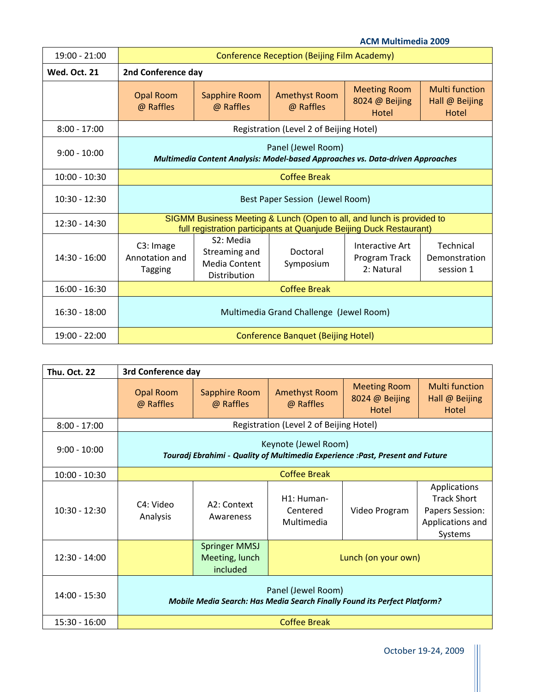|                     |                                                                                                                                              |                                                                                 |                                   | <b>ACM Multimedia 2009</b>                     |                                                  |
|---------------------|----------------------------------------------------------------------------------------------------------------------------------------------|---------------------------------------------------------------------------------|-----------------------------------|------------------------------------------------|--------------------------------------------------|
| 19:00 - 21:00       | Conference Reception (Beijing Film Academy)                                                                                                  |                                                                                 |                                   |                                                |                                                  |
| <b>Wed. Oct. 21</b> | 2nd Conference day                                                                                                                           |                                                                                 |                                   |                                                |                                                  |
|                     | <b>Opal Room</b><br>@ Raffles                                                                                                                | Sapphire Room<br>@ Raffles                                                      | <b>Amethyst Room</b><br>@ Raffles | <b>Meeting Room</b><br>8024 @ Beijing<br>Hotel | <b>Multi function</b><br>Hall @ Beijing<br>Hotel |
| $8:00 - 17:00$      | Registration (Level 2 of Beijing Hotel)                                                                                                      |                                                                                 |                                   |                                                |                                                  |
| $9:00 - 10:00$      | Panel (Jewel Room)<br>Multimedia Content Analysis: Model-based Approaches vs. Data-driven Approaches                                         |                                                                                 |                                   |                                                |                                                  |
| $10:00 - 10:30$     | <b>Coffee Break</b>                                                                                                                          |                                                                                 |                                   |                                                |                                                  |
| $10:30 - 12:30$     | Best Paper Session (Jewel Room)                                                                                                              |                                                                                 |                                   |                                                |                                                  |
| $12:30 - 14:30$     | SIGMM Business Meeting & Lunch (Open to all, and lunch is provided to<br>full registration participants at Quanjude Beijing Duck Restaurant) |                                                                                 |                                   |                                                |                                                  |
| $14:30 - 16:00$     | C3: Image<br>Annotation and<br><b>Tagging</b>                                                                                                | S <sub>2</sub> : Media<br>Streaming and<br><b>Media Content</b><br>Distribution | Doctoral<br>Symposium             | Interactive Art<br>Program Track<br>2: Natural | <b>Technical</b><br>Demonstration<br>session 1   |
| $16:00 - 16:30$     | <b>Coffee Break</b>                                                                                                                          |                                                                                 |                                   |                                                |                                                  |
| $16:30 - 18:00$     | Multimedia Grand Challenge (Jewel Room)                                                                                                      |                                                                                 |                                   |                                                |                                                  |
| $19:00 - 22:00$     | <b>Conference Banquet (Beijing Hotel)</b>                                                                                                    |                                                                                 |                                   |                                                |                                                  |

| <b>Thu. Oct. 22</b> | 3rd Conference day                                                                                     |                                                    |                                      |                                                |                                                                                             |
|---------------------|--------------------------------------------------------------------------------------------------------|----------------------------------------------------|--------------------------------------|------------------------------------------------|---------------------------------------------------------------------------------------------|
|                     | <b>Opal Room</b><br>@ Raffles                                                                          | Sapphire Room<br>@ Raffles                         | <b>Amethyst Room</b><br>@ Raffles    | <b>Meeting Room</b><br>8024 @ Beijing<br>Hotel | <b>Multi function</b><br>Hall @ Beijing<br>Hotel                                            |
| $8:00 - 17:00$      | Registration (Level 2 of Beijing Hotel)                                                                |                                                    |                                      |                                                |                                                                                             |
| $9:00 - 10:00$      | Keynote (Jewel Room)<br>Touradj Ebrahimi - Quality of Multimedia Experience :Past, Present and Future  |                                                    |                                      |                                                |                                                                                             |
| $10:00 - 10:30$     | <b>Coffee Break</b>                                                                                    |                                                    |                                      |                                                |                                                                                             |
| $10:30 - 12:30$     | C4: Video<br>Analysis                                                                                  | A2: Context<br>Awareness                           | H1: Human-<br>Centered<br>Multimedia | Video Program                                  | Applications<br><b>Track Short</b><br><b>Papers Session:</b><br>Applications and<br>Systems |
| $12:30 - 14:00$     |                                                                                                        | <b>Springer MMSJ</b><br>Meeting, lunch<br>included | Lunch (on your own)                  |                                                |                                                                                             |
| 14:00 - 15:30       | Panel (Jewel Room)<br><b>Mobile Media Search: Has Media Search Finally Found its Perfect Platform?</b> |                                                    |                                      |                                                |                                                                                             |
| $15:30 - 16:00$     | <b>Coffee Break</b>                                                                                    |                                                    |                                      |                                                |                                                                                             |

October 19‐24, 2009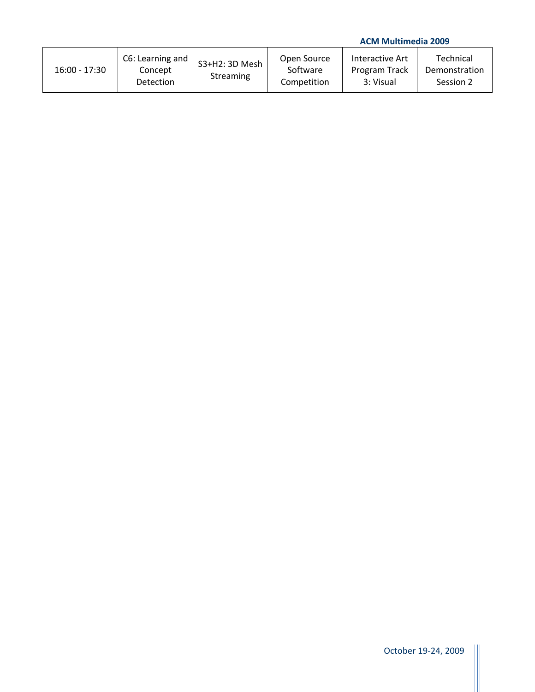## **ACM Multimedia 2009**

| $16:00 - 17:30$ | C6: Learning and<br>Concept<br>Detection | S3+H2: 3D Mesh<br>Streaming | Open Source<br>Software<br>Competition | Interactive Art<br>Program Track<br>3: Visual | Technical<br>Demonstration<br>Session 2 |
|-----------------|------------------------------------------|-----------------------------|----------------------------------------|-----------------------------------------------|-----------------------------------------|
|-----------------|------------------------------------------|-----------------------------|----------------------------------------|-----------------------------------------------|-----------------------------------------|

H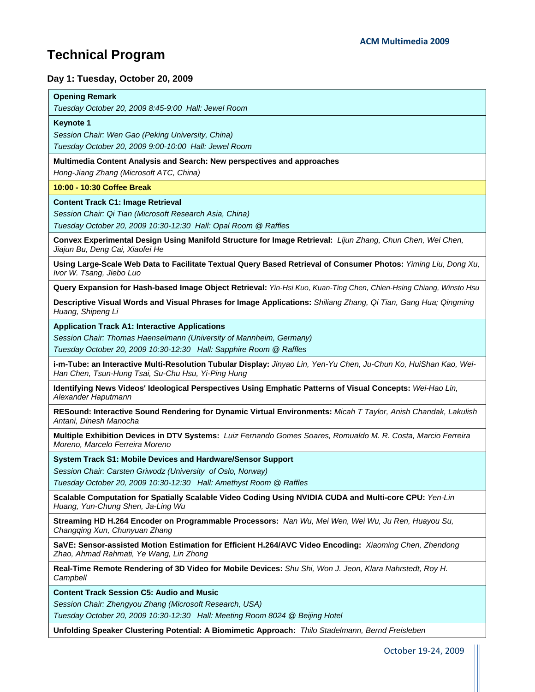# **Technical Program**

í,

## **Day 1: Tuesday, October 20, 2009**

| <b>Opening Remark</b>                                                                                                                                                   |
|-------------------------------------------------------------------------------------------------------------------------------------------------------------------------|
| Tuesday October 20, 2009 8:45-9:00 Hall: Jewel Room                                                                                                                     |
| <b>Keynote 1</b>                                                                                                                                                        |
| Session Chair: Wen Gao (Peking University, China)                                                                                                                       |
| Tuesday October 20, 2009 9:00-10:00 Hall: Jewel Room                                                                                                                    |
| Multimedia Content Analysis and Search: New perspectives and approaches                                                                                                 |
| Hong-Jiang Zhang (Microsoft ATC, China)                                                                                                                                 |
| 10:00 - 10:30 Coffee Break                                                                                                                                              |
| <b>Content Track C1: Image Retrieval</b>                                                                                                                                |
| Session Chair: Qi Tian (Microsoft Research Asia, China)                                                                                                                 |
| Tuesday October 20, 2009 10:30-12:30 Hall: Opal Room @ Raffles                                                                                                          |
| Convex Experimental Design Using Manifold Structure for Image Retrieval: Lijun Zhang, Chun Chen, Wei Chen,<br>Jiajun Bu, Deng Cai, Xiaofei He                           |
| Using Large-Scale Web Data to Facilitate Textual Query Based Retrieval of Consumer Photos: Yiming Liu, Dong Xu,<br>Ivor W. Tsang, Jiebo Luo                             |
| Query Expansion for Hash-based Image Object Retrieval: Yin-Hsi Kuo, Kuan-Ting Chen, Chien-Hsing Chiang, Winsto Hsu                                                      |
| Descriptive Visual Words and Visual Phrases for Image Applications: Shiliang Zhang, Qi Tian, Gang Hua; Qingming<br>Huang, Shipeng Li                                    |
| <b>Application Track A1: Interactive Applications</b>                                                                                                                   |
| Session Chair: Thomas Haenselmann (University of Mannheim, Germany)                                                                                                     |
| Tuesday October 20, 2009 10:30-12:30 Hall: Sapphire Room @ Raffles                                                                                                      |
| i-m-Tube: an Interactive Multi-Resolution Tubular Display: Jinyao Lin, Yen-Yu Chen, Ju-Chun Ko, HuiShan Kao, Wei-<br>Han Chen, Tsun-Hung Tsai, Su-Chu Hsu, Yi-Ping Hung |
| Identifying News Videos' Ideological Perspectives Using Emphatic Patterns of Visual Concepts: Wei-Hao Lin,<br>Alexander Haputmann                                       |
| RESound: Interactive Sound Rendering for Dynamic Virtual Environments: Micah T Taylor, Anish Chandak, Lakulish<br>Antani, Dinesh Manocha                                |
| Multiple Exhibition Devices in DTV Systems: Luiz Fernando Gomes Soares, Romualdo M. R. Costa, Marcio Ferreira<br>Moreno, Marcelo Ferreira Moreno                        |
| System Track S1: Mobile Devices and Hardware/Sensor Support                                                                                                             |
| Session Chair: Carsten Griwodz (University of Oslo, Norway)                                                                                                             |
| Tuesday October 20, 2009 10:30-12:30 Hall: Amethyst Room @ Raffles                                                                                                      |
| Scalable Computation for Spatially Scalable Video Coding Using NVIDIA CUDA and Multi-core CPU: Yen-Lin<br>Huang, Yun-Chung Shen, Ja-Ling Wu                             |
| Streaming HD H.264 Encoder on Programmable Processors: Nan Wu, Mei Wen, Wei Wu, Ju Ren, Huayou Su,<br>Changging Xun, Chunyuan Zhang                                     |
| SaVE: Sensor-assisted Motion Estimation for Efficient H.264/AVC Video Encoding: Xiaoming Chen, Zhendong<br>Zhao, Ahmad Rahmati, Ye Wang, Lin Zhong                      |
| Real-Time Remote Rendering of 3D Video for Mobile Devices: Shu Shi, Won J. Jeon, Klara Nahrstedt, Roy H.<br>Campbell                                                    |
| <b>Content Track Session C5: Audio and Music</b>                                                                                                                        |
| Session Chair: Zhengyou Zhang (Microsoft Research, USA)                                                                                                                 |
| Tuesday October 20, 2009 10:30-12:30 Hall: Meeting Room 8024 @ Beijing Hotel                                                                                            |
| Unfolding Speaker Clustering Potential: A Biomimetic Approach: Thilo Stadelmann, Bernd Freisleben                                                                       |
| October 19-24, 2009                                                                                                                                                     |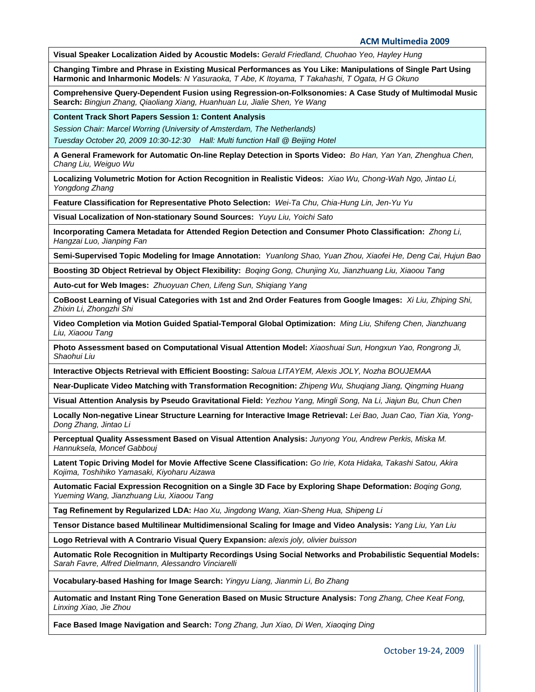**ACM Multimedia 2009**

**Visual Speaker Localization Aided by Acoustic Models:** *Gerald Friedland, Chuohao Yeo, Hayley Hung*

**Changing Timbre and Phrase in Existing Musical Performances as You Like: Manipulations of Single Part Using Harmonic and Inharmonic Models***: N Yasuraoka, T Abe, K Itoyama, T Takahashi, T Ogata, H G Okuno*

**Comprehensive Query-Dependent Fusion using Regression-on-Folksonomies: A Case Study of Multimodal Music Search:** *Bingjun Zhang, Qiaoliang Xiang, Huanhuan Lu, Jialie Shen, Ye Wang*

**Content Track Short Papers Session 1: Content Analysis** 

*Session Chair: Marcel Worring (University of Amsterdam, The Netherlands)* 

*Tuesday October 20, 2009 10:30-12:30 Hall: Multi function Hall @ Beijing Hotel*

**A General Framework for Automatic On-line Replay Detection in Sports Video:** *Bo Han, Yan Yan, Zhenghua Chen, Chang Liu, Weiguo Wu* 

**Localizing Volumetric Motion for Action Recognition in Realistic Videos:** *Xiao Wu, Chong-Wah Ngo, Jintao Li, Yongdong Zhang* 

**Feature Classification for Representative Photo Selection:** *Wei-Ta Chu, Chia-Hung Lin, Jen-Yu Yu* 

**Visual Localization of Non-stationary Sound Sources:** *Yuyu Liu, Yoichi Sato* 

**Incorporating Camera Metadata for Attended Region Detection and Consumer Photo Classification:** *Zhong Li, Hangzai Luo, Jianping Fan* 

**Semi-Supervised Topic Modeling for Image Annotation:** *Yuanlong Shao, Yuan Zhou, Xiaofei He, Deng Cai, Hujun Bao*

**Boosting 3D Object Retrieval by Object Flexibility:** *Boqing Gong, Chunjing Xu, Jianzhuang Liu, Xiaoou Tang* 

**Auto-cut for Web Images:** *Zhuoyuan Chen, Lifeng Sun, Shiqiang Yang* 

**CoBoost Learning of Visual Categories with 1st and 2nd Order Features from Google Images:** *Xi Liu, Zhiping Shi, Zhixin Li, Zhongzhi Shi* 

**Video Completion via Motion Guided Spatial-Temporal Global Optimization:** *Ming Liu, Shifeng Chen, Jianzhuang Liu, Xiaoou Tang* 

**Photo Assessment based on Computational Visual Attention Model:** *Xiaoshuai Sun, Hongxun Yao, Rongrong Ji, Shaohui Liu*

**Interactive Objects Retrieval with Efficient Boosting:** *Saloua LITAYEM, Alexis JOLY, Nozha BOUJEMAA*

**Near-Duplicate Video Matching with Transformation Recognition:** *Zhipeng Wu, Shuqiang Jiang, Qingming Huang*

**Visual Attention Analysis by Pseudo Gravitational Field:** *Yezhou Yang, Mingli Song, Na Li, Jiajun Bu, Chun Chen*

**Locally Non-negative Linear Structure Learning for Interactive Image Retrieval:** *Lei Bao, Juan Cao, Tian Xia, Yong-Dong Zhang, Jintao Li*

**Perceptual Quality Assessment Based on Visual Attention Analysis:** *Junyong You, Andrew Perkis, Miska M. Hannuksela, Moncef Gabbouj*

**Latent Topic Driving Model for Movie Affective Scene Classification:** *Go Irie, Kota Hidaka, Takashi Satou, Akira Kojima, Toshihiko Yamasaki, Kiyoharu Aizawa*

**Automatic Facial Expression Recognition on a Single 3D Face by Exploring Shape Deformation:** *Boqing Gong, Yueming Wang, Jianzhuang Liu, Xiaoou Tang*

**Tag Refinement by Regularized LDA:** *Hao Xu, Jingdong Wang, Xian-Sheng Hua, Shipeng Li*

**Tensor Distance based Multilinear Multidimensional Scaling for Image and Video Analysis:** *Yang Liu, Yan Liu*

**Logo Retrieval with A Contrario Visual Query Expansion:** *alexis joly, olivier buisson*

**Automatic Role Recognition in Multiparty Recordings Using Social Networks and Probabilistic Sequential Models:**  *Sarah Favre, Alfred Dielmann, Alessandro Vinciarelli*

**Vocabulary-based Hashing for Image Search:** *Yingyu Liang, Jianmin Li, Bo Zhang*

**Automatic and Instant Ring Tone Generation Based on Music Structure Analysis:** *Tong Zhang, Chee Keat Fong, Linxing Xiao, Jie Zhou*

**Face Based Image Navigation and Search:** *Tong Zhang, Jun Xiao, Di Wen, Xiaoqing Ding*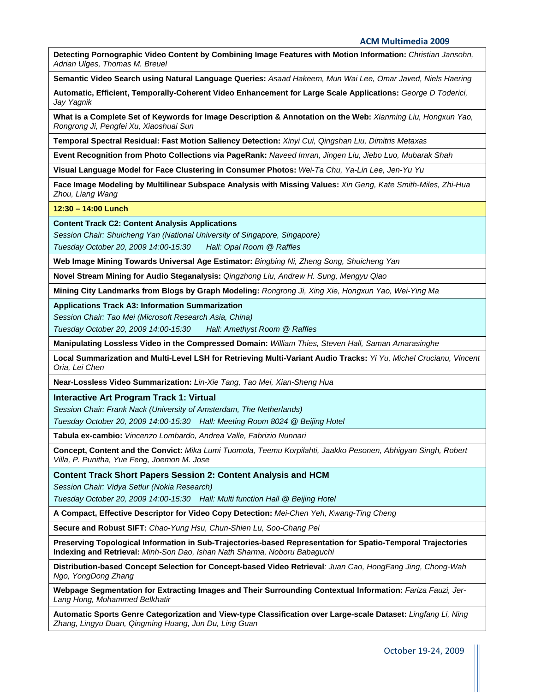**Detecting Pornographic Video Content by Combining Image Features with Motion Information:** *Christian Jansohn, Adrian Ulges, Thomas M. Breuel*

**Semantic Video Search using Natural Language Queries:** *Asaad Hakeem, Mun Wai Lee, Omar Javed, Niels Haering*

**Automatic, Efficient, Temporally-Coherent Video Enhancement for Large Scale Applications:** *George D Toderici, Jay Yagnik*

**What is a Complete Set of Keywords for Image Description & Annotation on the Web:** *Xianming Liu, Hongxun Yao, Rongrong Ji, Pengfei Xu, Xiaoshuai Sun*

**Temporal Spectral Residual: Fast Motion Saliency Detection:** *Xinyi Cui, Qingshan Liu, Dimitris Metaxas*

**Event Recognition from Photo Collections via PageRank:** *Naveed Imran, Jingen Liu, Jiebo Luo, Mubarak Shah*

**Visual Language Model for Face Clustering in Consumer Photos:** *Wei-Ta Chu, Ya-Lin Lee, Jen-Yu Yu*

**Face Image Modeling by Multilinear Subspace Analysis with Missing Values:** *Xin Geng, Kate Smith-Miles, Zhi-Hua Zhou, Liang Wang*

**12:30 – 14:00 Lunch** 

**Content Track C2: Content Analysis Applications** 

*Session Chair: Shuicheng Yan (National University of Singapore, Singapore)* 

*Tuesday October 20, 2009 14:00-15:30 Hall: Opal Room @ Raffles*

**Web Image Mining Towards Universal Age Estimator:** *Bingbing Ni, Zheng Song, Shuicheng Yan*

**Novel Stream Mining for Audio Steganalysis:** *Qingzhong Liu, Andrew H. Sung, Mengyu Qiao*

**Mining City Landmarks from Blogs by Graph Modeling:** *Rongrong Ji, Xing Xie, Hongxun Yao, Wei-Ying Ma*

**Applications Track A3: Information Summarization** 

*Session Chair: Tao Mei (Microsoft Research Asia, China)* 

*Tuesday October 20, 2009 14:00-15:30 Hall: Amethyst Room @ Raffles*

**Manipulating Lossless Video in the Compressed Domain:** *William Thies, Steven Hall, Saman Amarasinghe*

**Local Summarization and Multi-Level LSH for Retrieving Multi-Variant Audio Tracks:** *Yi Yu, Michel Crucianu, Vincent Oria, Lei Chen*

**Near-Lossless Video Summarization:** *Lin-Xie Tang, Tao Mei, Xian-Sheng Hua*

**Interactive Art Program Track 1: Virtual** 

*Session Chair: Frank Nack (University of Amsterdam, The Netherlands)* 

*Tuesday October 20, 2009 14:00-15:30 Hall: Meeting Room 8024 @ Beijing Hotel*

**Tabula ex-cambio:** *Vincenzo Lombardo, Andrea Valle, Fabrizio Nunnari*

**Concept, Content and the Convict:** *Mika Lumi Tuomola, Teemu Korpilahti, Jaakko Pesonen, Abhigyan Singh, Robert Villa, P. Punitha, Yue Feng, Joemon M. Jose*

**Content Track Short Papers Session 2: Content Analysis and HCM** 

*Session Chair: Vidya Setlur (Nokia Research)* 

*Tuesday October 20, 2009 14:00-15:30 Hall: Multi function Hall @ Beijing Hotel*

**A Compact, Effective Descriptor for Video Copy Detection:** *Mei-Chen Yeh, Kwang-Ting Cheng*

**Secure and Robust SIFT:** *Chao-Yung Hsu, Chun-Shien Lu, Soo-Chang Pei*

**Preserving Topological Information in Sub-Trajectories-based Representation for Spatio-Temporal Trajectories Indexing and Retrieval:** *Minh-Son Dao, Ishan Nath Sharma, Noboru Babaguchi*

**Distribution-based Concept Selection for Concept-based Video Retrieval***: Juan Cao, HongFang Jing, Chong-Wah Ngo, YongDong Zhang*

Webpage Segmentation for Extracting Images and Their Surrounding Contextual Information: *Fariza Fauzi, Jer-Lang Hong, Mohammed Belkhatir*

**Automatic Sports Genre Categorization and View-type Classification over Large-scale Dataset:** *Lingfang Li, Ning Zhang, Lingyu Duan, Qingming Huang, Jun Du, Ling Guan*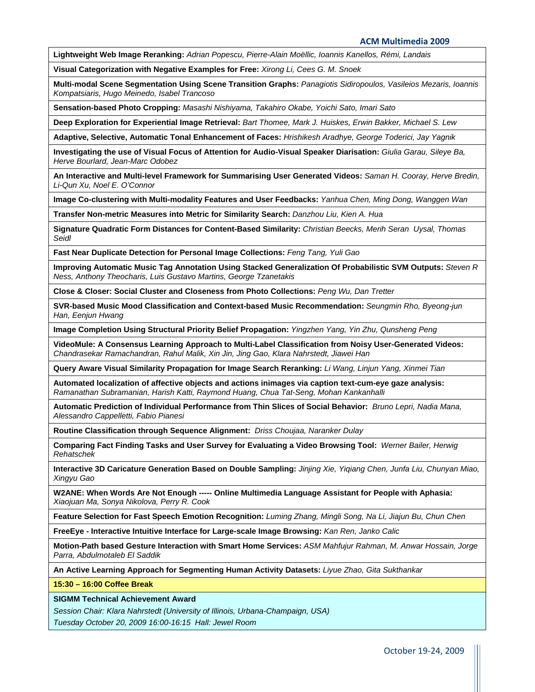**ACM Multimedia 2009**

**Lightweight Web Image Reranking:** *Adrian Popescu, Pierre-Alain Moëllic, Ioannis Kanellos, Rémi, Landais*

**Visual Categorization with Negative Examples for Free:** *Xirong Li, Cees G. M. Snoek*

**Multi-modal Scene Segmentation Using Scene Transition Graphs:** *Panagiotis Sidiropoulos, Vasileios Mezaris, Ioannis Kompatsiaris, Hugo Meinedo, Isabel Trancoso*

**Sensation-based Photo Cropping:** *Masashi Nishiyama, Takahiro Okabe, Yoichi Sato, Imari Sato*

**Deep Exploration for Experiential Image Retrieval:** *Bart Thomee, Mark J. Huiskes, Erwin Bakker, Michael S. Lew*

**Adaptive, Selective, Automatic Tonal Enhancement of Faces:** *Hrishikesh Aradhye, George Toderici, Jay Yagnik*

**Investigating the use of Visual Focus of Attention for Audio-Visual Speaker Diarisation:** *Giulia Garau, Sileye Ba, Herve Bourlard, Jean-Marc Odobez*

**An Interactive and Multi-level Framework for Summarising User Generated Videos:** *Saman H. Cooray, Herve Bredin, Li-Qun Xu, Noel E. O'Connor*

**Image Co-clustering with Multi-modality Features and User Feedbacks:** *Yanhua Chen, Ming Dong, Wanggen Wan*

**Transfer Non-metric Measures into Metric for Similarity Search:** *Danzhou Liu, Kien A. Hua*

**Signature Quadratic Form Distances for Content-Based Similarity:** *Christian Beecks, Merih Seran Uysal, Thomas Seidl*

**Fast Near Duplicate Detection for Personal Image Collections:** *Feng Tang, Yuli Gao*

**Improving Automatic Music Tag Annotation Using Stacked Generalization Of Probabilistic SVM Outputs:** *Steven R Ness, Anthony Theocharis, Luis Gustavo Martins, George Tzanetakis*

**Close & Closer: Social Cluster and Closeness from Photo Collections:** *Peng Wu, Dan Tretter*

**SVR-based Music Mood Classification and Context-based Music Recommendation:** *Seungmin Rho, Byeong-jun Han, Eenjun Hwang*

**Image Completion Using Structural Priority Belief Propagation:** *Yingzhen Yang, Yin Zhu, Qunsheng Peng*

**VideoMule: A Consensus Learning Approach to Multi-Label Classification from Noisy User-Generated Videos:**  *Chandrasekar Ramachandran, Rahul Malik, Xin Jin, Jing Gao, Klara Nahrstedt, Jiawei Han*

**Query Aware Visual Similarity Propagation for Image Search Reranking:** *Li Wang, Linjun Yang, Xinmei Tian*

**Automated localization of affective objects and actions inimages via caption text-cum-eye gaze analysis:**  *Ramanathan Subramanian, Harish Katti, Raymond Huang, Chua Tat-Seng, Mohan Kankanhalli* 

**Automatic Prediction of Individual Performance from Thin Slices of Social Behavior:** *Bruno Lepri, Nadia Mana, Alessandro Cappelletti, Fabio Pianesi* 

**Routine Classification through Sequence Alignment:** *Driss Choujaa, Naranker Dulay* 

**Comparing Fact Finding Tasks and User Survey for Evaluating a Video Browsing Tool:** *Werner Bailer, Herwig Rehatschek* 

**Interactive 3D Caricature Generation Based on Double Sampling:** *Jinjing Xie, Yiqiang Chen, Junfa Liu, Chunyan Miao, Xingyu Gao*

**W2ANE: When Words Are Not Enough ----- Online Multimedia Language Assistant for People with Aphasia:**  *Xiaojuan Ma, Sonya Nikolova, Perry R. Cook*

**Feature Selection for Fast Speech Emotion Recognition:** *Luming Zhang, Mingli Song, Na Li, Jiajun Bu, Chun Chen*

**FreeEye - Interactive Intuitive Interface for Large-scale Image Browsing:** *Kan Ren, Janko Calic*

**Motion-Path based Gesture Interaction with Smart Home Services:** *ASM Mahfujur Rahman, M. Anwar Hossain, Jorge Parra, Abdulmotaleb El Saddik*

**An Active Learning Approach for Segmenting Human Activity Datasets:** *Liyue Zhao, Gita Sukthankar*

**15:30 – 16:00 Coffee Break** 

**SIGMM Technical Achievement Award** 

*Session Chair: Klara Nahrstedt (University of Illinois, Urbana-Champaign, USA) Tuesday October 20, 2009 16:00-16:15 Hall: Jewel Room*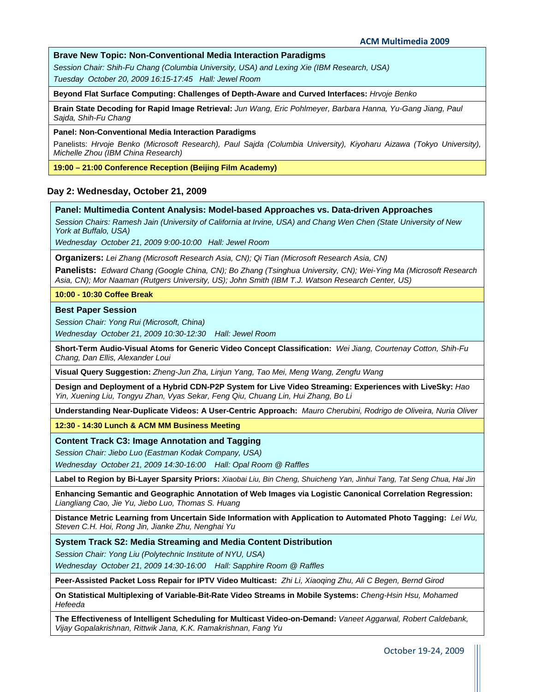#### **Brave New Topic: Non-Conventional Media Interaction Paradigms**

*Session Chair: Shih-Fu Chang (Columbia University, USA) and Lexing Xie (IBM Research, USA) Tuesday October 20, 2009 16:15-17:45 Hall: Jewel Room*

**Beyond Flat Surface Computing: Challenges of Depth-Aware and Curved Interfaces:** *Hrvoje Benko*

**Brain State Decoding for Rapid Image Retrieval:** *Jun Wang, Eric Pohlmeyer, Barbara Hanna, Yu-Gang Jiang, Paul Sajda, Shih-Fu Chang*

#### **Panel: Non-Conventional Media Interaction Paradigms**

Panelists: *Hrvoje Benko (Microsoft Research), Paul Sajda (Columbia University), Kiyoharu Aizawa (Tokyo University), Michelle Zhou (IBM China Research)*

**19:00 – 21:00 Conference Reception (Beijing Film Academy)** 

#### **Day 2: Wednesday, October 21, 2009**

#### **Panel: Multimedia Content Analysis: Model-based Approaches vs. Data-driven Approaches**

*Session Chairs: Ramesh Jain (University of California at Irvine, USA) and Chang Wen Chen (State University of New York at Buffalo, USA)* 

*Wednesday October 21, 2009 9:00-10:00 Hall: Jewel Room*

**Organizers:** *Lei Zhang (Microsoft Research Asia, CN); Qi Tian (Microsoft Research Asia, CN)*

**Panelists:** *Edward Chang (Google China, CN); Bo Zhang (Tsinghua University, CN); Wei-Ying Ma (Microsoft Research Asia, CN); Mor Naaman (Rutgers University, US); John Smith (IBM T.J. Watson Research Center, US)*

#### **10:00 - 10:30 Coffee Break**

#### **Best Paper Session**

*Session Chair: Yong Rui (Microsoft, China)* 

*Wednesday October 21, 2009 10:30-12:30 Hall: Jewel Room*

**Short-Term Audio-Visual Atoms for Generic Video Concept Classification:** *Wei Jiang, Courtenay Cotton, Shih-Fu Chang, Dan Ellis, Alexander Loui*

**Visual Query Suggestion:** *Zheng-Jun Zha, Linjun Yang, Tao Mei, Meng Wang, Zengfu Wang*

**Design and Deployment of a Hybrid CDN-P2P System for Live Video Streaming: Experiences with LiveSky:** *Hao Yin, Xuening Liu, Tongyu Zhan, Vyas Sekar, Feng Qiu, Chuang Lin, Hui Zhang, Bo Li*

**Understanding Near-Duplicate Videos: A User-Centric Approach:** *Mauro Cherubini, Rodrigo de Oliveira, Nuria Oliver*

**12:30 - 14:30 Lunch & ACM MM Business Meeting** 

**Content Track C3: Image Annotation and Tagging** 

*Session Chair: Jiebo Luo (Eastman Kodak Company, USA)* 

*Wednesday October 21, 2009 14:30-16:00 Hall: Opal Room @ Raffles*

**Label to Region by Bi-Layer Sparsity Priors:** *Xiaobai Liu, Bin Cheng, Shuicheng Yan, Jinhui Tang, Tat Seng Chua, Hai Jin*

**Enhancing Semantic and Geographic Annotation of Web Images via Logistic Canonical Correlation Regression:**  *Liangliang Cao, Jie Yu, Jiebo Luo, Thomas S. Huang*

**Distance Metric Learning from Uncertain Side Information with Application to Automated Photo Tagging:** *Lei Wu, Steven C.H. Hoi, Rong Jin, Jianke Zhu, Nenghai Yu*

**System Track S2: Media Streaming and Media Content Distribution** 

*Session Chair: Yong Liu (Polytechnic Institute of NYU, USA)* 

*Wednesday October 21, 2009 14:30-16:00 Hall: Sapphire Room @ Raffles*

**Peer-Assisted Packet Loss Repair for IPTV Video Multicast:** *Zhi Li, Xiaoqing Zhu, Ali C Begen, Bernd Girod*

**On Statistical Multiplexing of Variable-Bit-Rate Video Streams in Mobile Systems:** *Cheng-Hsin Hsu, Mohamed Hefeeda*

**The Effectiveness of Intelligent Scheduling for Multicast Video-on-Demand:** *Vaneet Aggarwal, Robert Caldebank, Vijay Gopalakrishnan, Rittwik Jana, K.K. Ramakrishnan, Fang Yu*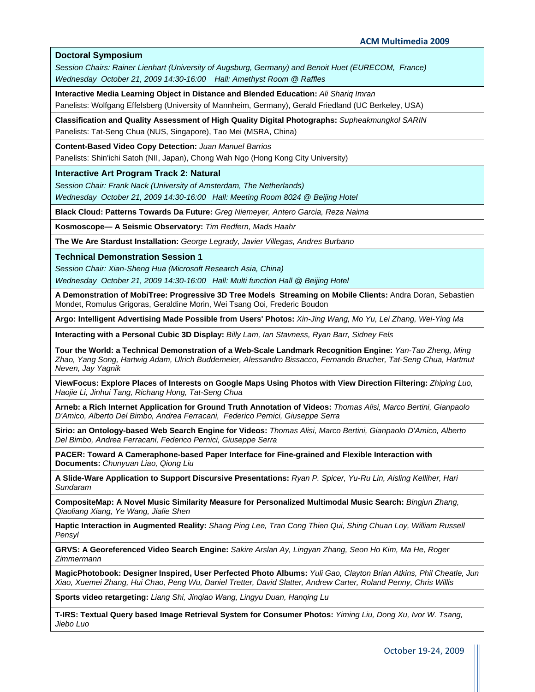#### **Doctoral Symposium**

*Session Chairs: Rainer Lienhart (University of Augsburg, Germany) and Benoit Huet (EURECOM, France) Wednesday October 21, 2009 14:30-16:00 Hall: Amethyst Room @ Raffles*

**Interactive Media Learning Object in Distance and Blended Education:** *Ali Shariq Imran* 

Panelists: Wolfgang Effelsberg (University of Mannheim, Germany), Gerald Friedland (UC Berkeley, USA)

**Classification and Quality Assessment of High Quality Digital Photographs:** *Supheakmungkol SARIN*  Panelists: Tat-Seng Chua (NUS, Singapore), Tao Mei (MSRA, China)

**Content-Based Video Copy Detection:** *Juan Manuel Barrios* 

Panelists: Shin'ichi Satoh (NII, Japan), Chong Wah Ngo (Hong Kong City University)

**Interactive Art Program Track 2: Natural** 

*Session Chair: Frank Nack (University of Amsterdam, The Netherlands) Wednesday October 21, 2009 14:30-16:00 Hall: Meeting Room 8024 @ Beijing Hotel*

**Black Cloud: Patterns Towards Da Future:** *Greg Niemeyer, Antero Garcia, Reza Naima*

**Kosmoscope— A Seismic Observatory:** *Tim Redfern, Mads Haahr*

**The We Are Stardust Installation:** *George Legrady, Javier Villegas, Andres Burbano*

**Technical Demonstration Session 1** 

*Session Chair: Xian-Sheng Hua (Microsoft Research Asia, China) Wednesday October 21, 2009 14:30-16:00 Hall: Multi function Hall @ Beijing Hotel*

**A Demonstration of MobiTree: Progressive 3D Tree Models Streaming on Mobile Clients:** Andra Doran, Sebastien Mondet, Romulus Grigoras, Geraldine Morin, Wei Tsang Ooi, Frederic Boudon

**Argo: Intelligent Advertising Made Possible from Users' Photos:** *Xin-Jing Wang, Mo Yu, Lei Zhang, Wei-Ying Ma*

**Interacting with a Personal Cubic 3D Display:** *Billy Lam, Ian Stavness, Ryan Barr, Sidney Fels*

**Tour the World: a Technical Demonstration of a Web-Scale Landmark Recognition Engine:** *Yan-Tao Zheng, Ming Zhao, Yang Song, Hartwig Adam, Ulrich Buddemeier, Alessandro Bissacco, Fernando Brucher, Tat-Seng Chua, Hartmut Neven, Jay Yagnik*

**ViewFocus: Explore Places of Interests on Google Maps Using Photos with View Direction Filtering:** *Zhiping Luo, Haojie Li, Jinhui Tang, Richang Hong, Tat-Seng Chua*

**Arneb: a Rich Internet Application for Ground Truth Annotation of Videos:** *Thomas Alisi, Marco Bertini, Gianpaolo D'Amico, Alberto Del Bimbo, Andrea Ferracani, Federico Pernici, Giuseppe Serra*

**Sirio: an Ontology-based Web Search Engine for Videos:** *Thomas Alisi, Marco Bertini, Gianpaolo D'Amico, Alberto Del Bimbo, Andrea Ferracani, Federico Pernici, Giuseppe Serra*

**PACER: Toward A Cameraphone-based Paper Interface for Fine-grained and Flexible Interaction with Documents:** *Chunyuan Liao, Qiong Liu*

**A Slide-Ware Application to Support Discursive Presentations:** *Ryan P. Spicer, Yu-Ru Lin, Aisling Kelliher, Hari Sundaram*

**CompositeMap: A Novel Music Similarity Measure for Personalized Multimodal Music Search:** *Bingjun Zhang, Qiaoliang Xiang, Ye Wang, Jialie Shen*

**Haptic Interaction in Augmented Reality:** *Shang Ping Lee, Tran Cong Thien Qui, Shing Chuan Loy, William Russell Pensyl*

**GRVS: A Georeferenced Video Search Engine:** *Sakire Arslan Ay, Lingyan Zhang, Seon Ho Kim, Ma He, Roger Zimmermann*

**MagicPhotobook: Designer Inspired, User Perfected Photo Albums:** *Yuli Gao, Clayton Brian Atkins, Phil Cheatle, Jun Xiao, Xuemei Zhang, Hui Chao, Peng Wu, Daniel Tretter, David Slatter, Andrew Carter, Roland Penny, Chris Willis*

**Sports video retargeting:** *Liang Shi, Jinqiao Wang, Lingyu Duan, Hanqing Lu*

**T-IRS: Textual Query based Image Retrieval System for Consumer Photos:** *Yiming Liu, Dong Xu, Ivor W. Tsang, Jiebo Luo*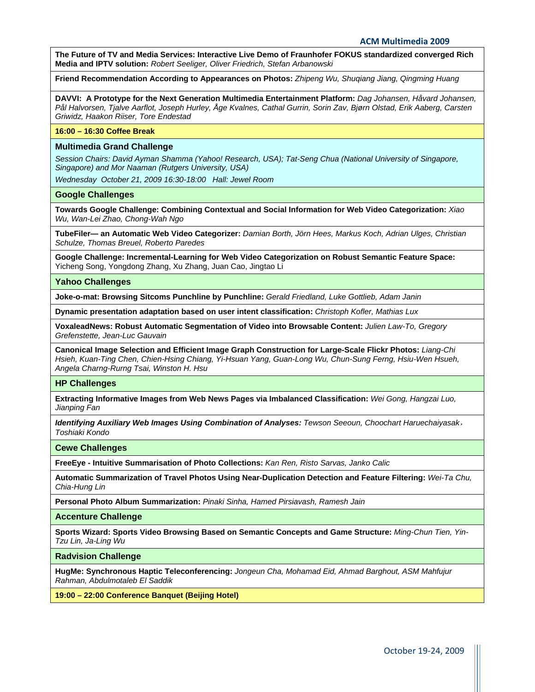**The Future of TV and Media Services: Interactive Live Demo of Fraunhofer FOKUS standardized converged Rich Media and IPTV solution:** *Robert Seeliger, Oliver Friedrich, Stefan Arbanowski*

**Friend Recommendation According to Appearances on Photos:** *Zhipeng Wu, Shuqiang Jiang, Qingming Huang*

**DAVVI: A Prototype for the Next Generation Multimedia Entertainment Platform:** *Dag Johansen, Håvard Johansen, Pål Halvorsen, Tjalve Aarflot, Joseph Hurley, Åge Kvalnes, Cathal Gurrin, Sorin Zav, Bjørn Olstad, Erik Aaberg, Carsten Griwidz, Haakon Riiser, Tore Endestad*

#### **16:00 – 16:30 Coffee Break**

#### **Multimedia Grand Challenge**

*Session Chairs: David Ayman Shamma (Yahoo! Research, USA); Tat-Seng Chua (National University of Singapore, Singapore) and Mor Naaman (Rutgers University, USA)* 

*Wednesday October 21, 2009 16:30-18:00 Hall: Jewel Room*

#### **Google Challenges**

**Towards Google Challenge: Combining Contextual and Social Information for Web Video Categorization:** *Xiao Wu, Wan-Lei Zhao, Chong-Wah Ngo*

**TubeFiler— an Automatic Web Video Categorizer:** *Damian Borth, Jörn Hees, Markus Koch, Adrian Ulges, Christian Schulze, Thomas Breuel, Roberto Paredes*

**Google Challenge: Incremental-Learning for Web Video Categorization on Robust Semantic Feature Space:**  Yicheng Song, Yongdong Zhang, Xu Zhang, Juan Cao, Jingtao Li

#### **Yahoo Challenges**

**Joke-o-mat: Browsing Sitcoms Punchline by Punchline:** *Gerald Friedland, Luke Gottlieb, Adam Janin*

**Dynamic presentation adaptation based on user intent classification:** *Christoph Kofler, Mathias Lux*

**VoxaleadNews: Robust Automatic Segmentation of Video into Browsable Content:** *Julien Law-To, Gregory Grefenstette, Jean-Luc Gauvain*

**Canonical Image Selection and Efficient Image Graph Construction for Large-Scale Flickr Photos:** *Liang-Chi Hsieh, Kuan-Ting Chen, Chien-Hsing Chiang, Yi-Hsuan Yang, Guan-Long Wu, Chun-Sung Ferng, Hsiu-Wen Hsueh, Angela Charng-Rurng Tsai, Winston H. Hsu*

#### **HP Challenges**

**Extracting Informative Images from Web News Pages via Imbalanced Classification:** *Wei Gong, Hangzai Luo, Jianping Fan*

*Identifying Auxiliary Web Images Using Combination of Analyses: Tewson Seeoun, Choochart Haruechaiyasak*, *Toshiaki Kondo*

**Cewe Challenges** 

**FreeEye - Intuitive Summarisation of Photo Collections:** *Kan Ren, Risto Sarvas, Janko Calic*

**Automatic Summarization of Travel Photos Using Near-Duplication Detection and Feature Filtering:** *Wei-Ta Chu, Chia-Hung Lin*

**Personal Photo Album Summarization:** *Pinaki Sinha, Hamed Pirsiavash, Ramesh Jain*

**Accenture Challenge** 

**Sports Wizard: Sports Video Browsing Based on Semantic Concepts and Game Structure:** *Ming-Chun Tien, Yin-Tzu Lin, Ja-Ling Wu*

**Radvision Challenge** 

**HugMe: Synchronous Haptic Teleconferencing:** *Jongeun Cha, Mohamad Eid, Ahmad Barghout, ASM Mahfujur Rahman, Abdulmotaleb El Saddik*

**19:00 – 22:00 Conference Banquet (Beijing Hotel)**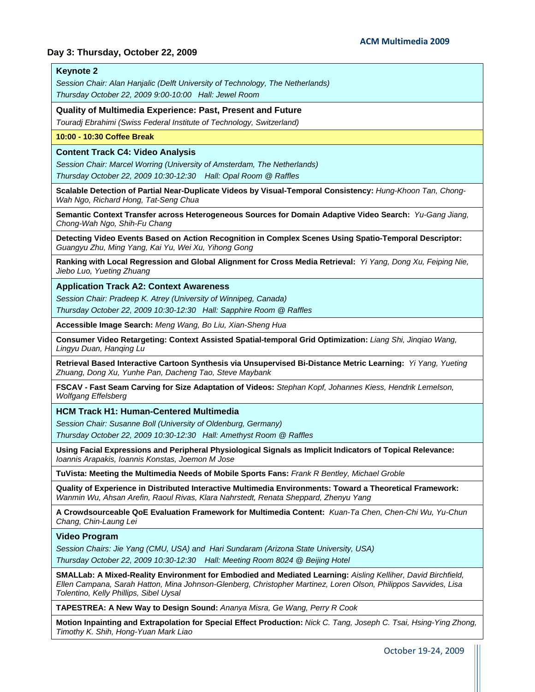### **Day 3: Thursday, October 22, 2009**

#### **Keynote 2**

*Session Chair: Alan Hanjalic (Delft University of Technology, The Netherlands) Thursday October 22, 2009 9:00-10:00 Hall: Jewel Room*

**Quality of Multimedia Experience: Past, Present and Future** 

*Touradj Ebrahimi (Swiss Federal Institute of Technology, Switzerland)*

#### **10:00 - 10:30 Coffee Break**

#### **Content Track C4: Video Analysis**

*Session Chair: Marcel Worring (University of Amsterdam, The Netherlands)* 

*Thursday October 22, 2009 10:30-12:30 Hall: Opal Room @ Raffles*

**Scalable Detection of Partial Near-Duplicate Videos by Visual-Temporal Consistency:** *Hung-Khoon Tan, Chong-Wah Ngo, Richard Hong, Tat-Seng Chua*

**Semantic Context Transfer across Heterogeneous Sources for Domain Adaptive Video Search:** *Yu-Gang Jiang, Chong-Wah Ngo, Shih-Fu Chang*

**Detecting Video Events Based on Action Recognition in Complex Scenes Using Spatio-Temporal Descriptor:**  *Guangyu Zhu, Ming Yang, Kai Yu, Wei Xu, Yihong Gong*

**Ranking with Local Regression and Global Alignment for Cross Media Retrieval:** *Yi Yang, Dong Xu, Feiping Nie, Jiebo Luo, Yueting Zhuang*

**Application Track A2: Context Awareness** 

*Session Chair: Pradeep K. Atrey (University of Winnipeg, Canada) Thursday October 22, 2009 10:30-12:30 Hall: Sapphire Room @ Raffles*

**Accessible Image Search:** *Meng Wang, Bo Liu, Xian-Sheng Hua*

**Consumer Video Retargeting: Context Assisted Spatial-temporal Grid Optimization:** *Liang Shi, Jinqiao Wang, Lingyu Duan, Hanqing Lu*

**Retrieval Based Interactive Cartoon Synthesis via Unsupervised Bi-Distance Metric Learning:** *Yi Yang, Yueting Zhuang, Dong Xu, Yunhe Pan, Dacheng Tao, Steve Maybank*

**FSCAV - Fast Seam Carving for Size Adaptation of Videos:** *Stephan Kopf, Johannes Kiess, Hendrik Lemelson, Wolfgang Effelsberg*

**HCM Track H1: Human-Centered Multimedia** 

*Session Chair: Susanne Boll (University of Oldenburg, Germany) Thursday October 22, 2009 10:30-12:30 Hall: Amethyst Room @ Raffles*

**Using Facial Expressions and Peripheral Physiological Signals as Implicit Indicators of Topical Relevance:**  *Ioannis Arapakis, Ioannis Konstas, Joemon M Jose*

**TuVista: Meeting the Multimedia Needs of Mobile Sports Fans:** *Frank R Bentley, Michael Groble*

**Quality of Experience in Distributed Interactive Multimedia Environments: Toward a Theoretical Framework:**  *Wanmin Wu, Ahsan Arefin, Raoul Rivas, Klara Nahrstedt, Renata Sheppard, Zhenyu Yang*

**A Crowdsourceable QoE Evaluation Framework for Multimedia Content:** *Kuan-Ta Chen, Chen-Chi Wu, Yu-Chun Chang, Chin-Laung Lei*

#### **Video Program**

*Session Chairs: Jie Yang (CMU, USA) and Hari Sundaram (Arizona State University, USA) Thursday October 22, 2009 10:30-12:30 Hall: Meeting Room 8024 @ Beijing Hotel*

**SMALLab: A Mixed-Reality Environment for Embodied and Mediated Learning:** *Aisling Kelliher, David Birchfield, Ellen Campana, Sarah Hatton, Mina Johnson-Glenberg, Christopher Martinez, Loren Olson, Philippos Savvides, Lisa Tolentino, Kelly Phillips, Sibel Uysal*

**TAPESTREA: A New Way to Design Sound:** *Ananya Misra, Ge Wang, Perry R Cook*

**Motion Inpainting and Extrapolation for Special Effect Production:** *Nick C. Tang, Joseph C. Tsai, Hsing-Ying Zhong, Timothy K. Shih, Hong-Yuan Mark Liao*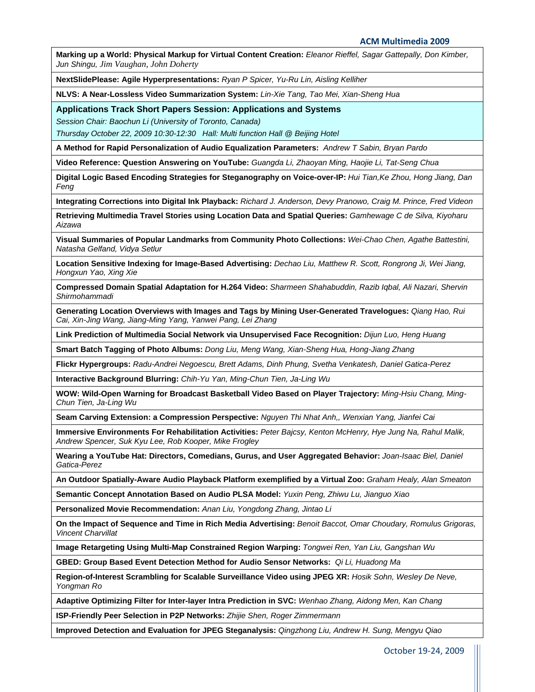**Marking up a World: Physical Markup for Virtual Content Creation:** *Eleanor Rieffel, Sagar Gattepally, Don Kimber, Jun Shingu, Jim Vaughan, John Doherty*

**NextSlidePlease: Agile Hyperpresentations:** *Ryan P Spicer, Yu-Ru Lin, Aisling Kelliher*

**NLVS: A Near-Lossless Video Summarization System:** *Lin-Xie Tang, Tao Mei, Xian-Sheng Hua*

**Applications Track Short Papers Session: Applications and Systems** 

*Session Chair: Baochun Li (University of Toronto, Canada)* 

*Thursday October 22, 2009 10:30-12:30 Hall: Multi function Hall @ Beijing Hotel*

**A Method for Rapid Personalization of Audio Equalization Parameters:** *Andrew T Sabin, Bryan Pardo* 

**Video Reference: Question Answering on YouTube:** *Guangda Li, Zhaoyan Ming, Haojie Li, Tat-Seng Chua*

**Digital Logic Based Encoding Strategies for Steganography on Voice-over-IP:** *Hui Tian,Ke Zhou, Hong Jiang, Dan Feng*

**Integrating Corrections into Digital Ink Playback:** *Richard J. Anderson, Devy Pranowo, Craig M. Prince, Fred Videon*

**Retrieving Multimedia Travel Stories using Location Data and Spatial Queries:** *Gamhewage C de Silva, Kiyoharu Aizawa*

**Visual Summaries of Popular Landmarks from Community Photo Collections:** *Wei-Chao Chen, Agathe Battestini, Natasha Gelfand, Vidya Setlur*

**Location Sensitive Indexing for Image-Based Advertising:** *Dechao Liu, Matthew R. Scott, Rongrong Ji, Wei Jiang, Hongxun Yao, Xing Xie*

**Compressed Domain Spatial Adaptation for H.264 Video:** *Sharmeen Shahabuddin, Razib Iqbal, Ali Nazari, Shervin Shirmohammadi*

**Generating Location Overviews with Images and Tags by Mining User-Generated Travelogues:** *Qiang Hao, Rui Cai, Xin-Jing Wang, Jiang-Ming Yang, Yanwei Pang, Lei Zhang*

**Link Prediction of Multimedia Social Network via Unsupervised Face Recognition:** *Dijun Luo, Heng Huang*

**Smart Batch Tagging of Photo Albums:** *Dong Liu, Meng Wang, Xian-Sheng Hua, Hong-Jiang Zhang*

**Flickr Hypergroups:** *Radu-Andrei Negoescu, Brett Adams, Dinh Phung, Svetha Venkatesh, Daniel Gatica-Perez*

**Interactive Background Blurring:** *Chih-Yu Yan, Ming-Chun Tien, Ja-Ling Wu*

**WOW: Wild-Open Warning for Broadcast Basketball Video Based on Player Trajectory:** *Ming-Hsiu Chang, Ming-Chun Tien, Ja-Ling Wu*

**Seam Carving Extension: a Compression Perspective:** *Nguyen Thi Nhat Anh,, Wenxian Yang, Jianfei Cai*

**Immersive Environments For Rehabilitation Activities:** *Peter Bajcsy, Kenton McHenry, Hye Jung Na, Rahul Malik, Andrew Spencer, Suk Kyu Lee, Rob Kooper, Mike Frogley*

**Wearing a YouTube Hat: Directors, Comedians, Gurus, and User Aggregated Behavior:** *Joan-Isaac Biel, Daniel Gatica-Perez*

**An Outdoor Spatially-Aware Audio Playback Platform exemplified by a Virtual Zoo:** *Graham Healy, Alan Smeaton*

**Semantic Concept Annotation Based on Audio PLSA Model:** *Yuxin Peng, Zhiwu Lu, Jianguo Xiao*

**Personalized Movie Recommendation:** *Anan Liu, Yongdong Zhang, Jintao Li*

**On the Impact of Sequence and Time in Rich Media Advertising:** *Benoit Baccot, Omar Choudary, Romulus Grigoras, Vincent Charvillat*

**Image Retargeting Using Multi-Map Constrained Region Warping:** *Tongwei Ren, Yan Liu, Gangshan Wu*

**GBED: Group Based Event Detection Method for Audio Sensor Networks:** *Qi Li, Huadong Ma* 

**Region-of-Interest Scrambling for Scalable Surveillance Video using JPEG XR:** *Hosik Sohn, Wesley De Neve, Yongman Ro* 

**Adaptive Optimizing Filter for Inter-layer Intra Prediction in SVC:** *Wenhao Zhang, Aidong Men, Kan Chang*

**ISP-Friendly Peer Selection in P2P Networks:** *Zhijie Shen, Roger Zimmermann*

**Improved Detection and Evaluation for JPEG Steganalysis:** *Qingzhong Liu, Andrew H. Sung, Mengyu Qiao*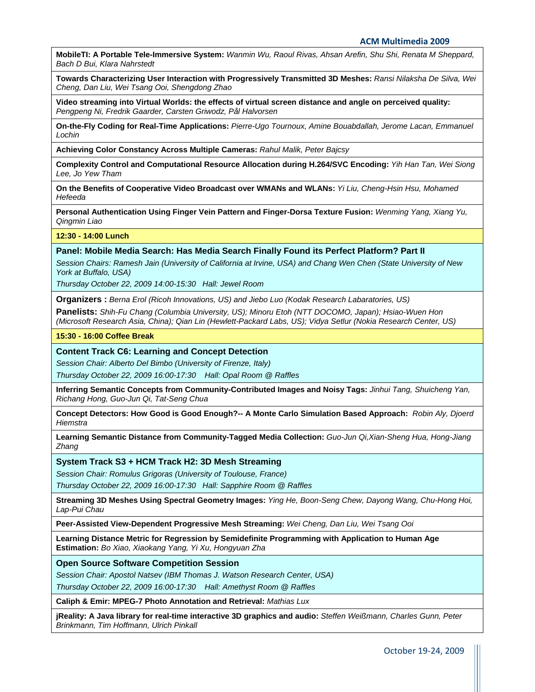**MobileTI: A Portable Tele-Immersive System:** *Wanmin Wu, Raoul Rivas, Ahsan Arefin, Shu Shi, Renata M Sheppard, Bach D Bui, Klara Nahrstedt*

**Towards Characterizing User Interaction with Progressively Transmitted 3D Meshes:** *Ransi Nilaksha De Silva, Wei Cheng, Dan Liu, Wei Tsang Ooi, Shengdong Zhao*

**Video streaming into Virtual Worlds: the effects of virtual screen distance and angle on perceived quality:**  *Pengpeng Ni, Fredrik Gaarder, Carsten Griwodz, Pål Halvorsen*

**On-the-Fly Coding for Real-Time Applications:** *Pierre-Ugo Tournoux, Amine Bouabdallah, Jerome Lacan, Emmanuel Lochin*

**Achieving Color Constancy Across Multiple Cameras:** *Rahul Malik, Peter Bajcsy*

**Complexity Control and Computational Resource Allocation during H.264/SVC Encoding:** *Yih Han Tan, Wei Siong Lee, Jo Yew Tham*

**On the Benefits of Cooperative Video Broadcast over WMANs and WLANs:** *Yi Liu, Cheng-Hsin Hsu, Mohamed Hefeeda*

**Personal Authentication Using Finger Vein Pattern and Finger-Dorsa Texture Fusion:** *Wenming Yang, Xiang Yu, Qingmin Liao*

**12:30 - 14:00 Lunch** 

#### **Panel: Mobile Media Search: Has Media Search Finally Found its Perfect Platform? Part II**

*Session Chairs: Ramesh Jain (University of California at Irvine, USA) and Chang Wen Chen (State University of New York at Buffalo, USA)* 

*Thursday October 22, 2009 14:00-15:30 Hall: Jewel Room*

**Organizers :** *Berna Erol (Ricoh Innovations, US) and Jiebo Luo (Kodak Research Labaratories, US)*

**Panelists:** *Shih-Fu Chang (Columbia University, US); Minoru Etoh (NTT DOCOMO, Japan); Hsiao-Wuen Hon (Microsoft Research Asia, China); Qian Lin (Hewlett-Packard Labs, US); Vidya Setlur (Nokia Research Center, US)*

#### **15:30 - 16:00 Coffee Break**

#### **Content Track C6: Learning and Concept Detection**

*Session Chair: Alberto Del Bimbo [\(University of Firenze](http://videolectures.net/alberto_del_bimbo/), Italy)* 

*Thursday October 22, 2009 16:00-17:30 Hall: Opal Room @ Raffles*

**Inferring Semantic Concepts from Community-Contributed Images and Noisy Tags:** *Jinhui Tang, Shuicheng Yan, Richang Hong, Guo-Jun Qi, Tat-Seng Chua*

**Concept Detectors: How Good is Good Enough?-- A Monte Carlo Simulation Based Approach:** *Robin Aly, Djoerd Hiemstra*

**Learning Semantic Distance from Community-Tagged Media Collection:** *Guo-Jun Qi,Xian-Sheng Hua, Hong-Jiang Zhang*

#### **System Track S3 + HCM Track H2: 3D Mesh Streaming**

*Session Chair: Romulus Grigoras (University of Toulouse, France)* 

*Thursday October 22, 2009 16:00-17:30 Hall: Sapphire Room @ Raffles*

**Streaming 3D Meshes Using Spectral Geometry Images:** *Ying He, Boon-Seng Chew, Dayong Wang, Chu-Hong Hoi, Lap-Pui Chau*

**Peer-Assisted View-Dependent Progressive Mesh Streaming:** *Wei Cheng, Dan Liu, Wei Tsang Ooi*

**Learning Distance Metric for Regression by Semidefinite Programming with Application to Human Age Estimation:** *Bo Xiao, Xiaokang Yang, Yi Xu, Hongyuan Zha*

#### **Open Source Software Competition Session**

*Session Chair: Apostol Natsev (IBM Thomas J. Watson Research Center, USA)* 

*Thursday October 22, 2009 16:00-17:30 Hall: Amethyst Room @ Raffles*

**Caliph & Emir: MPEG-7 Photo Annotation and Retrieval:** *Mathias Lux*

**jReality: A Java library for real-time interactive 3D graphics and audio:** *Steffen Weißmann, Charles Gunn, Peter Brinkmann, Tim Hoffmann, Ulrich Pinkall*